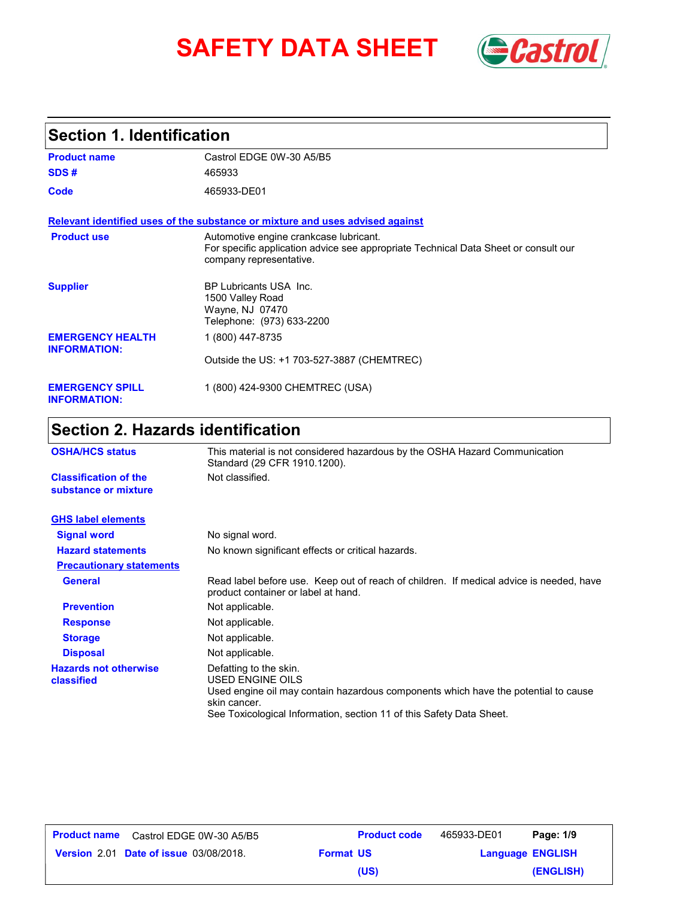# **SAFETY DATA SHEET** *Castrol*



### **Section 1. Identification**

| <b>Product name</b>                            | Castrol EDGE 0W-30 A5/B5                                                                                                                                 |
|------------------------------------------------|----------------------------------------------------------------------------------------------------------------------------------------------------------|
| SDS#                                           | 465933                                                                                                                                                   |
| Code                                           | 465933-DE01                                                                                                                                              |
|                                                | Relevant identified uses of the substance or mixture and uses advised against                                                                            |
| <b>Product use</b>                             | Automotive engine crankcase lubricant.<br>For specific application advice see appropriate Technical Data Sheet or consult our<br>company representative. |
| <b>Supplier</b>                                | BP Lubricants USA Inc.<br>1500 Valley Road<br>Wayne, NJ 07470<br>Telephone: (973) 633-2200                                                               |
| <b>EMERGENCY HEALTH</b><br><b>INFORMATION:</b> | 1 (800) 447-8735                                                                                                                                         |
|                                                | Outside the US: +1 703-527-3887 (CHEMTREC)                                                                                                               |
| <b>EMERGENCY SPILL</b><br><b>INFORMATION:</b>  | 1 (800) 424-9300 CHEMTREC (USA)                                                                                                                          |

## **Section 2. Hazards identification**

| <b>OSHA/HCS status</b>                               | This material is not considered hazardous by the OSHA Hazard Communication<br>Standard (29 CFR 1910.1200).                                                                                                               |  |
|------------------------------------------------------|--------------------------------------------------------------------------------------------------------------------------------------------------------------------------------------------------------------------------|--|
| <b>Classification of the</b><br>substance or mixture | Not classified.                                                                                                                                                                                                          |  |
| <b>GHS label elements</b>                            |                                                                                                                                                                                                                          |  |
| <b>Signal word</b>                                   | No signal word.                                                                                                                                                                                                          |  |
| <b>Hazard statements</b>                             | No known significant effects or critical hazards.                                                                                                                                                                        |  |
| <b>Precautionary statements</b>                      |                                                                                                                                                                                                                          |  |
| <b>General</b>                                       | Read label before use. Keep out of reach of children. If medical advice is needed, have<br>product container or label at hand.                                                                                           |  |
| <b>Prevention</b>                                    | Not applicable.                                                                                                                                                                                                          |  |
| <b>Response</b>                                      | Not applicable.                                                                                                                                                                                                          |  |
| <b>Storage</b>                                       | Not applicable.                                                                                                                                                                                                          |  |
| <b>Disposal</b>                                      | Not applicable.                                                                                                                                                                                                          |  |
| <b>Hazards not otherwise</b><br>classified           | Defatting to the skin.<br>USED ENGINE OILS<br>Used engine oil may contain hazardous components which have the potential to cause<br>skin cancer.<br>See Toxicological Information, section 11 of this Safety Data Sheet. |  |

| <b>Product name</b> | Castrol EDGE 0W-30 A5/B5                      |                  | <b>Product code</b> | 465933-DE01             | Page: 1/9 |
|---------------------|-----------------------------------------------|------------------|---------------------|-------------------------|-----------|
|                     | <b>Version 2.01 Date of issue 03/08/2018.</b> | <b>Format US</b> |                     | <b>Language ENGLISH</b> |           |
|                     |                                               |                  | (US)                |                         | (ENGLISH) |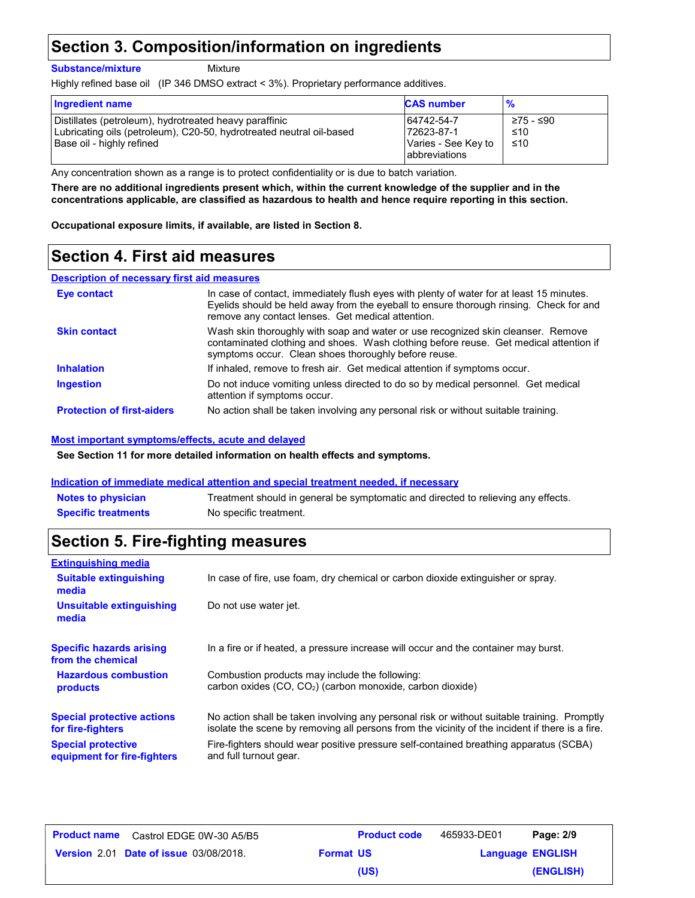### **Section 3. Composition/information on ingredients**

#### **Substance/mixture**

Mixture

Highly refined base oil (IP 346 DMSO extract < 3%). Proprietary performance additives.

| <b>Ingredient name</b>                                                                                                                                      | <b>CAS number</b>                                                        | $\frac{9}{6}$           |
|-------------------------------------------------------------------------------------------------------------------------------------------------------------|--------------------------------------------------------------------------|-------------------------|
| Distillates (petroleum), hydrotreated heavy paraffinic<br>Lubricating oils (petroleum), C20-50, hydrotreated neutral oil-based<br>Base oil - highly refined | 64742-54-7<br>172623-87-1<br>Varies - See Key to<br><b>abbreviations</b> | ≥75 - ≤90<br>≤10<br>≤10 |

Any concentration shown as a range is to protect confidentiality or is due to batch variation.

**There are no additional ingredients present which, within the current knowledge of the supplier and in the concentrations applicable, are classified as hazardous to health and hence require reporting in this section.**

**Occupational exposure limits, if available, are listed in Section 8.**

### **Section 4. First aid measures**

#### **Description of necessary first aid measures**

| Eye contact                       | In case of contact, immediately flush eyes with plenty of water for at least 15 minutes.<br>Evelids should be held away from the eyeball to ensure thorough rinsing. Check for and<br>remove any contact lenses. Get medical attention. |
|-----------------------------------|-----------------------------------------------------------------------------------------------------------------------------------------------------------------------------------------------------------------------------------------|
| <b>Skin contact</b>               | Wash skin thoroughly with soap and water or use recognized skin cleanser. Remove<br>contaminated clothing and shoes. Wash clothing before reuse. Get medical attention if<br>symptoms occur. Clean shoes thoroughly before reuse.       |
| <b>Inhalation</b>                 | If inhaled, remove to fresh air. Get medical attention if symptoms occur.                                                                                                                                                               |
| <b>Ingestion</b>                  | Do not induce vomiting unless directed to do so by medical personnel. Get medical<br>attention if symptoms occur.                                                                                                                       |
| <b>Protection of first-aiders</b> | No action shall be taken involving any personal risk or without suitable training.                                                                                                                                                      |

#### **Most important symptoms/effects, acute and delayed**

**See Section 11 for more detailed information on health effects and symptoms.**

#### **Indication of immediate medical attention and special treatment needed, if necessary**

| <b>Notes to physician</b>  | Treatment should in general be symptomatic and directed to relieving any effects. |
|----------------------------|-----------------------------------------------------------------------------------|
| <b>Specific treatments</b> | No specific treatment.                                                            |

### **Section 5. Fire-fighting measures**

| <b>Extinguishing media</b>                                                                                                 |                                                                                                                                                                                                |  |
|----------------------------------------------------------------------------------------------------------------------------|------------------------------------------------------------------------------------------------------------------------------------------------------------------------------------------------|--|
| In case of fire, use foam, dry chemical or carbon dioxide extinguisher or spray.<br><b>Suitable extinguishing</b><br>media |                                                                                                                                                                                                |  |
| <b>Unsuitable extinguishing</b><br>media                                                                                   | Do not use water jet.                                                                                                                                                                          |  |
| <b>Specific hazards arising</b><br>from the chemical                                                                       | In a fire or if heated, a pressure increase will occur and the container may burst.                                                                                                            |  |
| <b>Hazardous combustion</b><br>products                                                                                    | Combustion products may include the following:<br>carbon oxides (CO, CO <sub>2</sub> ) (carbon monoxide, carbon dioxide)                                                                       |  |
| <b>Special protective actions</b><br>for fire-fighters                                                                     | No action shall be taken involving any personal risk or without suitable training. Promptly<br>isolate the scene by removing all persons from the vicinity of the incident if there is a fire. |  |
| <b>Special protective</b><br>equipment for fire-fighters                                                                   | Fire-fighters should wear positive pressure self-contained breathing apparatus (SCBA)<br>and full turnout gear.                                                                                |  |

| <b>Product name</b> Castrol EDGE 0W-30 A5/B5  |                  | <b>Product code</b> | 465933-DE01 | Page: 2/9               |
|-----------------------------------------------|------------------|---------------------|-------------|-------------------------|
| <b>Version 2.01 Date of issue 03/08/2018.</b> | <b>Format US</b> |                     |             | <b>Language ENGLISH</b> |
|                                               |                  | (US)                |             | (ENGLISH)               |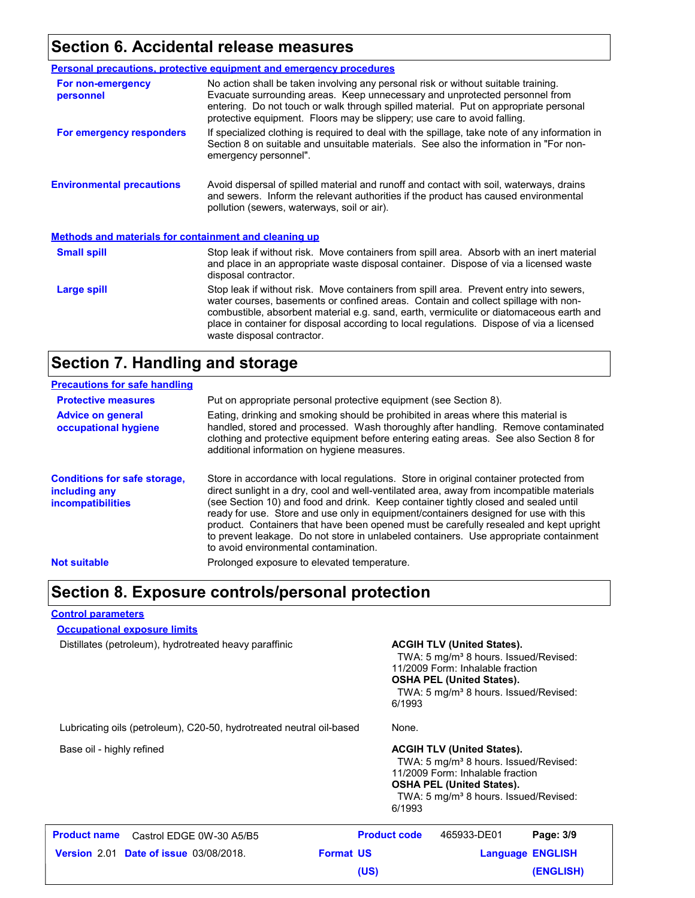### **Section 6. Accidental release measures**

|                                                              | <b>Personal precautions, protective equipment and emergency procedures</b>                                                                                                                                                                                                                                                                                                                         |  |
|--------------------------------------------------------------|----------------------------------------------------------------------------------------------------------------------------------------------------------------------------------------------------------------------------------------------------------------------------------------------------------------------------------------------------------------------------------------------------|--|
| For non-emergency<br>personnel                               | No action shall be taken involving any personal risk or without suitable training.<br>Evacuate surrounding areas. Keep unnecessary and unprotected personnel from<br>entering. Do not touch or walk through spilled material. Put on appropriate personal<br>protective equipment. Floors may be slippery; use care to avoid falling.                                                              |  |
| For emergency responders                                     | If specialized clothing is required to deal with the spillage, take note of any information in<br>Section 8 on suitable and unsuitable materials. See also the information in "For non-<br>emergency personnel".                                                                                                                                                                                   |  |
| <b>Environmental precautions</b>                             | Avoid dispersal of spilled material and runoff and contact with soil, waterways, drains<br>and sewers. Inform the relevant authorities if the product has caused environmental<br>pollution (sewers, waterways, soil or air).                                                                                                                                                                      |  |
| <b>Methods and materials for containment and cleaning up</b> |                                                                                                                                                                                                                                                                                                                                                                                                    |  |
| <b>Small spill</b>                                           | Stop leak if without risk. Move containers from spill area. Absorb with an inert material<br>and place in an appropriate waste disposal container. Dispose of via a licensed waste<br>disposal contractor.                                                                                                                                                                                         |  |
| Large spill                                                  | Stop leak if without risk. Move containers from spill area. Prevent entry into sewers,<br>water courses, basements or confined areas. Contain and collect spillage with non-<br>combustible, absorbent material e.g. sand, earth, vermiculite or diatomaceous earth and<br>place in container for disposal according to local regulations. Dispose of via a licensed<br>waste disposal contractor. |  |

### **Section 7. Handling and storage**

| <b>Precautions for safe handling</b>                                             |                                                                                                                                                                                                                                                                                                                                                                                                                                                                                                                                                                                               |
|----------------------------------------------------------------------------------|-----------------------------------------------------------------------------------------------------------------------------------------------------------------------------------------------------------------------------------------------------------------------------------------------------------------------------------------------------------------------------------------------------------------------------------------------------------------------------------------------------------------------------------------------------------------------------------------------|
| <b>Protective measures</b>                                                       | Put on appropriate personal protective equipment (see Section 8).                                                                                                                                                                                                                                                                                                                                                                                                                                                                                                                             |
| <b>Advice on general</b><br>occupational hygiene                                 | Eating, drinking and smoking should be prohibited in areas where this material is<br>handled, stored and processed. Wash thoroughly after handling. Remove contaminated<br>clothing and protective equipment before entering eating areas. See also Section 8 for<br>additional information on hygiene measures.                                                                                                                                                                                                                                                                              |
| <b>Conditions for safe storage,</b><br>including any<br><i>incompatibilities</i> | Store in accordance with local regulations. Store in original container protected from<br>direct sunlight in a dry, cool and well-ventilated area, away from incompatible materials<br>(see Section 10) and food and drink. Keep container tightly closed and sealed until<br>ready for use. Store and use only in equipment/containers designed for use with this<br>product. Containers that have been opened must be carefully resealed and kept upright<br>to prevent leakage. Do not store in unlabeled containers. Use appropriate containment<br>to avoid environmental contamination. |
| <b>Not suitable</b>                                                              | Prolonged exposure to elevated temperature.                                                                                                                                                                                                                                                                                                                                                                                                                                                                                                                                                   |

### **Section 8. Exposure controls/personal protection**

### **Control parameters**

**Occupational exposure limits**

Distillates (petroleum), hydrotreated heavy paraffinic **ACGIH TLV (United States).** 

TWA: 5 mg/m<sup>3</sup> 8 hours. Issued/Revised: 11/2009 Form: Inhalable fraction **OSHA PEL (United States).** TWA: 5 mg/m<sup>3</sup> 8 hours. Issued/Revised: 6/1993

Lubricating oils (petroleum), C20-50, hydrotreated neutral oil-based None.

Base oil - highly refined **ACGIH TLV (United States).** ACGIH TLV (United States).

TWA: 5 mg/m<sup>3</sup> 8 hours. Issued/Revised: 11/2009 Form: Inhalable fraction **OSHA PEL (United States).** TWA: 5 mg/m<sup>3</sup> 8 hours. Issued/Revised: 6/1993

| Castrol EDGE 0W-30 A5/B5<br><b>Product name</b> | <b>Product code</b> | 465933-DE01 | Page: 3/9               |
|-------------------------------------------------|---------------------|-------------|-------------------------|
| <b>Version 2.01 Date of issue 03/08/2018.</b>   | <b>Format US</b>    |             | <b>Language ENGLISH</b> |
|                                                 | (US)                |             | (ENGLISH)               |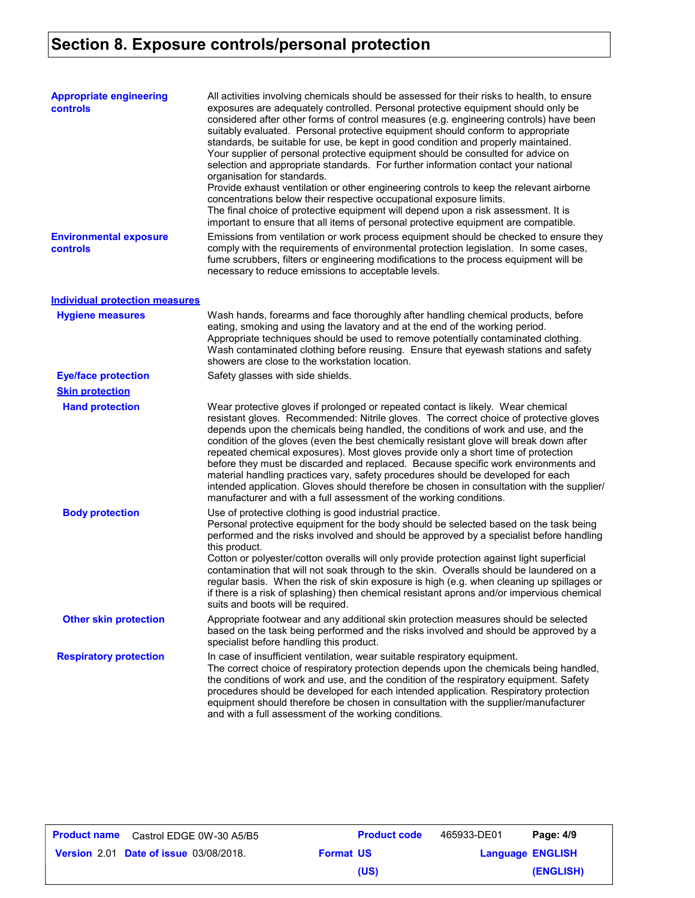## **Section 8. Exposure controls/personal protection**

| <b>Appropriate engineering</b><br><b>controls</b> | All activities involving chemicals should be assessed for their risks to health, to ensure<br>exposures are adequately controlled. Personal protective equipment should only be<br>considered after other forms of control measures (e.g. engineering controls) have been<br>suitably evaluated. Personal protective equipment should conform to appropriate<br>standards, be suitable for use, be kept in good condition and properly maintained.<br>Your supplier of personal protective equipment should be consulted for advice on<br>selection and appropriate standards. For further information contact your national<br>organisation for standards.<br>Provide exhaust ventilation or other engineering controls to keep the relevant airborne<br>concentrations below their respective occupational exposure limits.<br>The final choice of protective equipment will depend upon a risk assessment. It is<br>important to ensure that all items of personal protective equipment are compatible. |
|---------------------------------------------------|------------------------------------------------------------------------------------------------------------------------------------------------------------------------------------------------------------------------------------------------------------------------------------------------------------------------------------------------------------------------------------------------------------------------------------------------------------------------------------------------------------------------------------------------------------------------------------------------------------------------------------------------------------------------------------------------------------------------------------------------------------------------------------------------------------------------------------------------------------------------------------------------------------------------------------------------------------------------------------------------------------|
| <b>Environmental exposure</b><br>controls         | Emissions from ventilation or work process equipment should be checked to ensure they<br>comply with the requirements of environmental protection legislation. In some cases,<br>fume scrubbers, filters or engineering modifications to the process equipment will be<br>necessary to reduce emissions to acceptable levels.                                                                                                                                                                                                                                                                                                                                                                                                                                                                                                                                                                                                                                                                              |
| <b>Individual protection measures</b>             |                                                                                                                                                                                                                                                                                                                                                                                                                                                                                                                                                                                                                                                                                                                                                                                                                                                                                                                                                                                                            |
| <b>Hygiene measures</b>                           | Wash hands, forearms and face thoroughly after handling chemical products, before<br>eating, smoking and using the lavatory and at the end of the working period.<br>Appropriate techniques should be used to remove potentially contaminated clothing.<br>Wash contaminated clothing before reusing. Ensure that eyewash stations and safety<br>showers are close to the workstation location.                                                                                                                                                                                                                                                                                                                                                                                                                                                                                                                                                                                                            |
| <b>Eye/face protection</b>                        | Safety glasses with side shields.                                                                                                                                                                                                                                                                                                                                                                                                                                                                                                                                                                                                                                                                                                                                                                                                                                                                                                                                                                          |
| <b>Skin protection</b>                            |                                                                                                                                                                                                                                                                                                                                                                                                                                                                                                                                                                                                                                                                                                                                                                                                                                                                                                                                                                                                            |
| <b>Hand protection</b>                            | Wear protective gloves if prolonged or repeated contact is likely. Wear chemical<br>resistant gloves. Recommended: Nitrile gloves. The correct choice of protective gloves<br>depends upon the chemicals being handled, the conditions of work and use, and the<br>condition of the gloves (even the best chemically resistant glove will break down after<br>repeated chemical exposures). Most gloves provide only a short time of protection<br>before they must be discarded and replaced. Because specific work environments and<br>material handling practices vary, safety procedures should be developed for each<br>intended application. Gloves should therefore be chosen in consultation with the supplier/<br>manufacturer and with a full assessment of the working conditions.                                                                                                                                                                                                              |
| <b>Body protection</b>                            | Use of protective clothing is good industrial practice.<br>Personal protective equipment for the body should be selected based on the task being<br>performed and the risks involved and should be approved by a specialist before handling<br>this product.<br>Cotton or polyester/cotton overalls will only provide protection against light superficial<br>contamination that will not soak through to the skin. Overalls should be laundered on a<br>regular basis. When the risk of skin exposure is high (e.g. when cleaning up spillages or<br>if there is a risk of splashing) then chemical resistant aprons and/or impervious chemical<br>suits and boots will be required.                                                                                                                                                                                                                                                                                                                      |
| <b>Other skin protection</b>                      | Appropriate footwear and any additional skin protection measures should be selected<br>based on the task being performed and the risks involved and should be approved by a<br>specialist before handling this product.                                                                                                                                                                                                                                                                                                                                                                                                                                                                                                                                                                                                                                                                                                                                                                                    |
| <b>Respiratory protection</b>                     | In case of insufficient ventilation, wear suitable respiratory equipment.<br>The correct choice of respiratory protection depends upon the chemicals being handled,<br>the conditions of work and use, and the condition of the respiratory equipment. Safety<br>procedures should be developed for each intended application. Respiratory protection<br>equipment should therefore be chosen in consultation with the supplier/manufacturer<br>and with a full assessment of the working conditions.                                                                                                                                                                                                                                                                                                                                                                                                                                                                                                      |

| Product name | Castrol EDGE 0W-30 A5/B5                      |                  | <b>Product code</b> | 465933-DE01             | Page: 4/9 |
|--------------|-----------------------------------------------|------------------|---------------------|-------------------------|-----------|
|              | <b>Version 2.01 Date of issue 03/08/2018.</b> | <b>Format US</b> |                     | <b>Language ENGLISH</b> |           |
|              |                                               |                  | (US)                |                         | (ENGLISH) |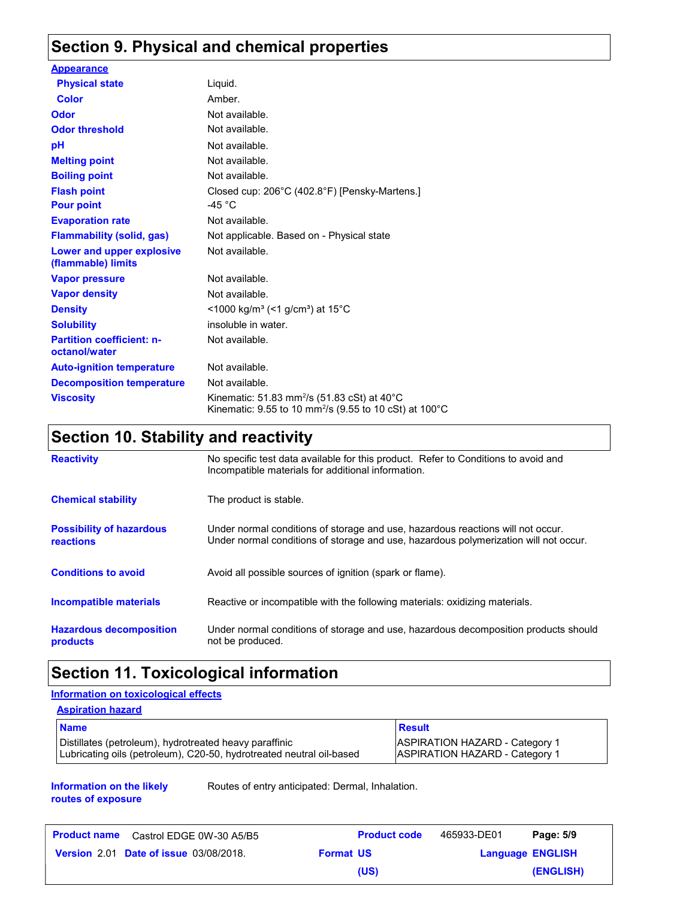### **Section 9. Physical and chemical properties**

| <b>Appearance</b>                                 |                                                                                                                                          |
|---------------------------------------------------|------------------------------------------------------------------------------------------------------------------------------------------|
| <b>Physical state</b>                             | Liquid.                                                                                                                                  |
| Color                                             | Amber.                                                                                                                                   |
| <b>Odor</b>                                       | Not available.                                                                                                                           |
| <b>Odor threshold</b>                             | Not available.                                                                                                                           |
| рH                                                | Not available.                                                                                                                           |
| <b>Melting point</b>                              | Not available.                                                                                                                           |
| <b>Boiling point</b>                              | Not available.                                                                                                                           |
| <b>Flash point</b>                                | Closed cup: 206°C (402.8°F) [Pensky-Martens.]                                                                                            |
| <b>Pour point</b>                                 | -45 °C                                                                                                                                   |
| <b>Evaporation rate</b>                           | Not available.                                                                                                                           |
| <b>Flammability (solid, gas)</b>                  | Not applicable. Based on - Physical state                                                                                                |
| Lower and upper explosive<br>(flammable) limits   | Not available.                                                                                                                           |
| <b>Vapor pressure</b>                             | Not available.                                                                                                                           |
| <b>Vapor density</b>                              | Not available.                                                                                                                           |
| <b>Density</b>                                    | $\leq$ 1000 kg/m <sup>3</sup> (<1 g/cm <sup>3</sup> ) at 15°C                                                                            |
| <b>Solubility</b>                                 | insoluble in water.                                                                                                                      |
| <b>Partition coefficient: n-</b><br>octanol/water | Not available.                                                                                                                           |
| <b>Auto-ignition temperature</b>                  | Not available.                                                                                                                           |
| <b>Decomposition temperature</b>                  | Not available.                                                                                                                           |
| <b>Viscosity</b>                                  | Kinematic: 51.83 mm <sup>2</sup> /s (51.83 cSt) at 40 $^{\circ}$ C<br>Kinematic: 9.55 to 10 mm <sup>2</sup> /s (9.55 to 10 cSt) at 100°C |

### **Section 10. Stability and reactivity**

| <b>Reactivity</b>                            | No specific test data available for this product. Refer to Conditions to avoid and<br>Incompatible materials for additional information.                                |
|----------------------------------------------|-------------------------------------------------------------------------------------------------------------------------------------------------------------------------|
| <b>Chemical stability</b>                    | The product is stable.                                                                                                                                                  |
| <b>Possibility of hazardous</b><br>reactions | Under normal conditions of storage and use, hazardous reactions will not occur.<br>Under normal conditions of storage and use, hazardous polymerization will not occur. |
| <b>Conditions to avoid</b>                   | Avoid all possible sources of ignition (spark or flame).                                                                                                                |
| Incompatible materials                       | Reactive or incompatible with the following materials: oxidizing materials.                                                                                             |
| <b>Hazardous decomposition</b><br>products   | Under normal conditions of storage and use, hazardous decomposition products should<br>not be produced.                                                                 |

### **Section 11. Toxicological information**

### **Information on toxicological effects**

| <b>Aspiration hazard</b>                                                                                                       |                                                                                |
|--------------------------------------------------------------------------------------------------------------------------------|--------------------------------------------------------------------------------|
| <b>Name</b>                                                                                                                    | <b>Result</b>                                                                  |
| Distillates (petroleum), hydrotreated heavy paraffinic<br>Lubricating oils (petroleum), C20-50, hydrotreated neutral oil-based | <b>ASPIRATION HAZARD - Category 1</b><br><b>ASPIRATION HAZARD - Category 1</b> |

#### **Information on the likely routes of exposure**

Routes of entry anticipated: Dermal, Inhalation.

| <b>Product name</b> Castrol EDGE 0W-30 A5/B5  |                  | <b>Product code</b> | 465933-DE01 | Page: 5/9               |
|-----------------------------------------------|------------------|---------------------|-------------|-------------------------|
| <b>Version 2.01 Date of issue 03/08/2018.</b> | <b>Format US</b> |                     |             | <b>Language ENGLISH</b> |
|                                               |                  | (US)                |             | (ENGLISH)               |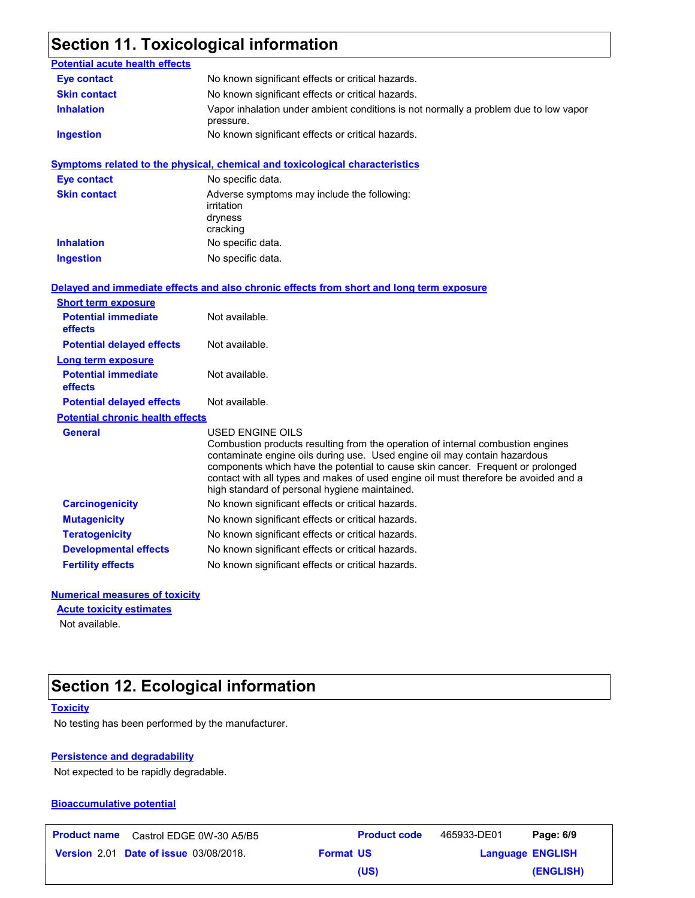### **Section 11. Toxicological information**

| <b>Potential acute health effects</b>   |                                                                                                                                                                                                                                                                                                                                                                                                             |
|-----------------------------------------|-------------------------------------------------------------------------------------------------------------------------------------------------------------------------------------------------------------------------------------------------------------------------------------------------------------------------------------------------------------------------------------------------------------|
| <b>Eye contact</b>                      | No known significant effects or critical hazards.                                                                                                                                                                                                                                                                                                                                                           |
| <b>Skin contact</b>                     | No known significant effects or critical hazards.                                                                                                                                                                                                                                                                                                                                                           |
| <b>Inhalation</b>                       | Vapor inhalation under ambient conditions is not normally a problem due to low vapor<br>pressure.                                                                                                                                                                                                                                                                                                           |
| <b>Ingestion</b>                        | No known significant effects or critical hazards.                                                                                                                                                                                                                                                                                                                                                           |
|                                         | <b>Symptoms related to the physical, chemical and toxicological characteristics</b>                                                                                                                                                                                                                                                                                                                         |
| <b>Eye contact</b>                      | No specific data.                                                                                                                                                                                                                                                                                                                                                                                           |
| <b>Skin contact</b>                     | Adverse symptoms may include the following:<br>irritation<br>dryness<br>cracking                                                                                                                                                                                                                                                                                                                            |
| <b>Inhalation</b>                       | No specific data.                                                                                                                                                                                                                                                                                                                                                                                           |
| <b>Ingestion</b>                        | No specific data.                                                                                                                                                                                                                                                                                                                                                                                           |
|                                         | Delayed and immediate effects and also chronic effects from short and long term exposure                                                                                                                                                                                                                                                                                                                    |
| <b>Short term exposure</b>              |                                                                                                                                                                                                                                                                                                                                                                                                             |
| <b>Potential immediate</b><br>effects   | Not available.                                                                                                                                                                                                                                                                                                                                                                                              |
| <b>Potential delayed effects</b>        | Not available.                                                                                                                                                                                                                                                                                                                                                                                              |
| Long term exposure                      |                                                                                                                                                                                                                                                                                                                                                                                                             |
| <b>Potential immediate</b><br>effects   | Not available.                                                                                                                                                                                                                                                                                                                                                                                              |
| <b>Potential delayed effects</b>        | Not available.                                                                                                                                                                                                                                                                                                                                                                                              |
| <b>Potential chronic health effects</b> |                                                                                                                                                                                                                                                                                                                                                                                                             |
| <b>General</b>                          | USED ENGINE OILS<br>Combustion products resulting from the operation of internal combustion engines<br>contaminate engine oils during use. Used engine oil may contain hazardous<br>components which have the potential to cause skin cancer. Frequent or prolonged<br>contact with all types and makes of used engine oil must therefore be avoided and a<br>high standard of personal hygiene maintained. |
| <b>Carcinogenicity</b>                  | No known significant effects or critical hazards.                                                                                                                                                                                                                                                                                                                                                           |
| <b>Mutagenicity</b>                     | No known significant effects or critical hazards.                                                                                                                                                                                                                                                                                                                                                           |
| <b>Teratogenicity</b>                   | No known significant effects or critical hazards.                                                                                                                                                                                                                                                                                                                                                           |
| <b>Developmental effects</b>            | No known significant effects or critical hazards.                                                                                                                                                                                                                                                                                                                                                           |
| <b>Fertility effects</b>                | No known significant effects or critical hazards.                                                                                                                                                                                                                                                                                                                                                           |

#### **Numerical measures of toxicity**

**Acute toxicity estimates**

Not available.

### **Section 12. Ecological information**

#### **Toxicity**

No testing has been performed by the manufacturer.

#### **Persistence and degradability**

Not expected to be rapidly degradable.

#### **Bioaccumulative potential**

**Date of issue** 03/08/2018. **Version** 2.01 **Format US Language Product name** Castrol EDGE 0W-30 A5/B5 **Product code** 465933-DE01 **Page: 6/9 ENGLISH (ENGLISH)** 465933-DE01 **(US)**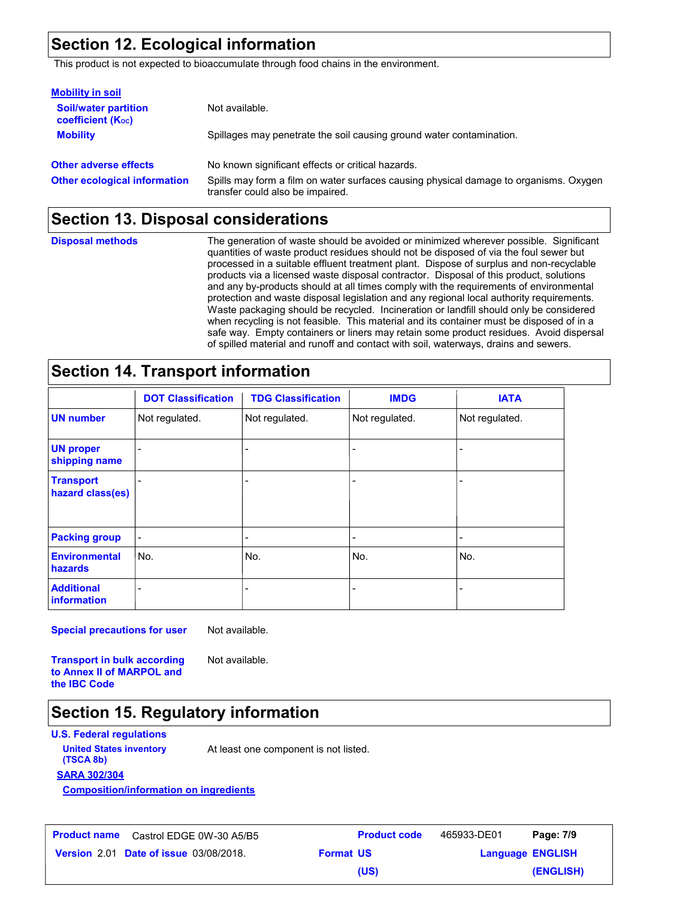### **Section 12. Ecological information**

This product is not expected to bioaccumulate through food chains in the environment.

| <b>Mobility in soil</b>                                 |                                                                                                                           |
|---------------------------------------------------------|---------------------------------------------------------------------------------------------------------------------------|
| <b>Soil/water partition</b><br><b>coefficient (Koc)</b> | Not available.                                                                                                            |
| <b>Mobility</b>                                         | Spillages may penetrate the soil causing ground water contamination.                                                      |
| <b>Other adverse effects</b>                            | No known significant effects or critical hazards.                                                                         |
| <b>Other ecological information</b>                     | Spills may form a film on water surfaces causing physical damage to organisms. Oxygen<br>transfer could also be impaired. |

### **Section 13. Disposal considerations**

**Disposal methods**

The generation of waste should be avoided or minimized wherever possible. Significant quantities of waste product residues should not be disposed of via the foul sewer but processed in a suitable effluent treatment plant. Dispose of surplus and non-recyclable products via a licensed waste disposal contractor. Disposal of this product, solutions and any by-products should at all times comply with the requirements of environmental protection and waste disposal legislation and any regional local authority requirements. Waste packaging should be recycled. Incineration or landfill should only be considered when recycling is not feasible. This material and its container must be disposed of in a safe way. Empty containers or liners may retain some product residues. Avoid dispersal of spilled material and runoff and contact with soil, waterways, drains and sewers.

### **Section 14. Transport information**

|                                         | <b>DOT Classification</b> | <b>TDG Classification</b> | <b>IMDG</b>              | <b>IATA</b>    |
|-----------------------------------------|---------------------------|---------------------------|--------------------------|----------------|
| <b>UN number</b>                        | Not regulated.            | Not regulated.            | Not regulated.           | Not regulated. |
| <b>UN proper</b><br>shipping name       |                           | -                         | $\overline{\phantom{0}}$ |                |
| <b>Transport</b><br>hazard class(es)    |                           |                           |                          |                |
| <b>Packing group</b>                    | $\overline{a}$            | -                         | $\overline{\phantom{0}}$ | -              |
| <b>Environmental</b><br>hazards         | No.                       | l No.                     | No.                      | No.            |
| <b>Additional</b><br><b>information</b> |                           |                           |                          |                |

**Special precautions for user**

Not available.

**Transport in bulk according to Annex II of MARPOL and the IBC Code**

Not available.

### **Section 15. Regulatory information**

**U.S. Federal regulations**

**United States inventory** At least one component is not listed.

**SARA 302/304 (TSCA 8b)**

**Composition/information on ingredients**

| <b>Product name</b> | Castrol EDGE 0W-30 A5/B5                                |
|---------------------|---------------------------------------------------------|
|                     | <b>Version</b> $2.01$ <b>Date of issue</b> $03/08/2018$ |

**Date of issue** 03/08/2018. **Version** 2.01 **Format US Language Product name** Castrol EDGE 0W-30 A5/B5 **Product code** 465933-DE01 **Page: 7/9 Language ENGLISH (ENGLISH)** 465933-DE01 Page: 7/9 **(US)**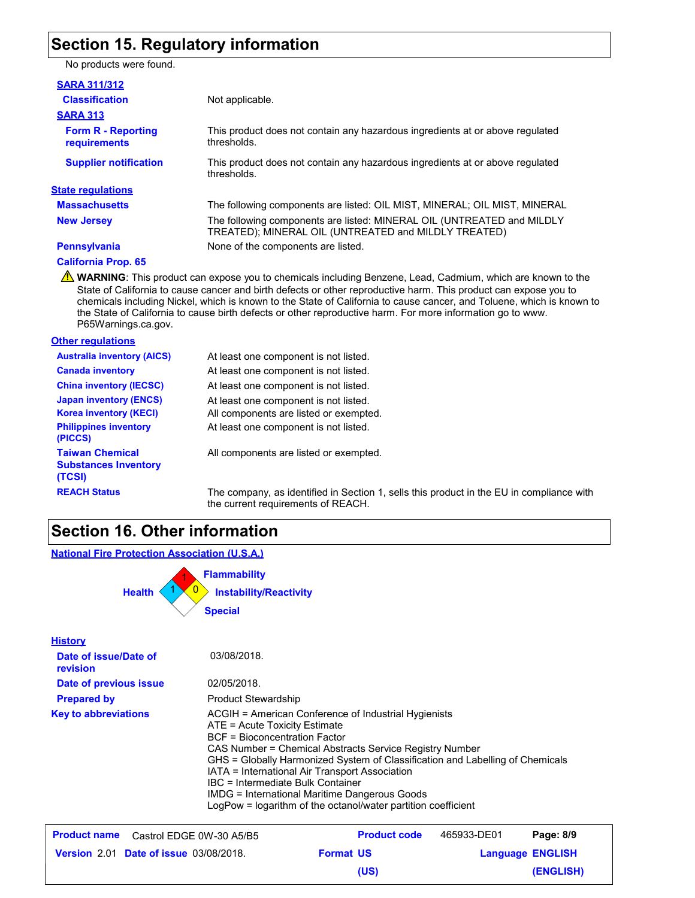### **Section 15. Regulatory information**

No products were found.

#### **SARA 311/312**

| <b>Classification</b>                            | Not applicable.                                                                                                                |
|--------------------------------------------------|--------------------------------------------------------------------------------------------------------------------------------|
| <b>SARA 313</b>                                  |                                                                                                                                |
| <b>Form R - Reporting</b><br><b>requirements</b> | This product does not contain any hazardous ingredients at or above regulated<br>thresholds.                                   |
| <b>Supplier notification</b>                     | This product does not contain any hazardous ingredients at or above regulated<br>thresholds.                                   |
| <b>State regulations</b>                         |                                                                                                                                |
| <b>Massachusetts</b>                             | The following components are listed: OIL MIST, MINERAL; OIL MIST, MINERAL                                                      |
| <b>New Jersey</b>                                | The following components are listed: MINERAL OIL (UNTREATED and MILDLY<br>TREATED); MINERAL OIL (UNTREATED and MILDLY TREATED) |
| <b>Pennsylvania</b>                              | None of the components are listed.                                                                                             |
|                                                  |                                                                                                                                |

**California Prop. 65**

WARNING: This product can expose you to chemicals including Benzene, Lead, Cadmium, which are known to the State of California to cause cancer and birth defects or other reproductive harm. This product can expose you to chemicals including Nickel, which is known to the State of California to cause cancer, and Toluene, which is known to the State of California to cause birth defects or other reproductive harm. For more information go to www. P65Warnings.ca.gov.

### **Other regulations**

| <b>Australia inventory (AICS)</b>                                                              | At least one component is not listed.                                           |
|------------------------------------------------------------------------------------------------|---------------------------------------------------------------------------------|
| <b>Canada inventory</b>                                                                        | At least one component is not listed.                                           |
| <b>China inventory (IECSC)</b>                                                                 | At least one component is not listed.                                           |
| <b>Japan inventory (ENCS)</b><br><b>Korea inventory (KECI)</b><br><b>Philippines inventory</b> | At least one component is not listed.<br>All components are listed or exempted. |
| (PICCS)                                                                                        | At least one component is not listed.                                           |
| <b>Taiwan Chemical</b><br><b>Substances Inventory</b><br>(TCSI)                                | All components are listed or exempted.                                          |
| <b>REACH Status</b>                                                                            | The company, as identified in Section 1, sel                                    |

, sells this product in the EU in compliance with the current requirements of REACH.

### **Section 16. Other information**

#### **National Fire Protection Association (U.S.A.)**

| <b>Flammability</b>                            |  |
|------------------------------------------------|--|
| <b>Health</b><br><b>Instability/Reactivity</b> |  |
| <b>Special</b>                                 |  |

| <b>History</b>                    |                                                                                                                                                                                                                                                                                                                                                                                                                                                                                    |
|-----------------------------------|------------------------------------------------------------------------------------------------------------------------------------------------------------------------------------------------------------------------------------------------------------------------------------------------------------------------------------------------------------------------------------------------------------------------------------------------------------------------------------|
| Date of issue/Date of<br>revision | 03/08/2018.                                                                                                                                                                                                                                                                                                                                                                                                                                                                        |
| Date of previous issue            | 02/05/2018.                                                                                                                                                                                                                                                                                                                                                                                                                                                                        |
| <b>Prepared by</b>                | <b>Product Stewardship</b>                                                                                                                                                                                                                                                                                                                                                                                                                                                         |
| <b>Key to abbreviations</b>       | ACGIH = American Conference of Industrial Hygienists<br>ATE = Acute Toxicity Estimate<br><b>BCF</b> = Bioconcentration Factor<br>CAS Number = Chemical Abstracts Service Registry Number<br>GHS = Globally Harmonized System of Classification and Labelling of Chemicals<br>IATA = International Air Transport Association<br>IBC = Intermediate Bulk Container<br>IMDG = International Maritime Dangerous Goods<br>LogPow = logarithm of the octanol/water partition coefficient |

| <b>Product name</b> Castrol EDGE 0W-30 A5/B5  | <b>Product code</b> | 465933-DE01 | Page: 8/9               |
|-----------------------------------------------|---------------------|-------------|-------------------------|
| <b>Version 2.01 Date of issue 03/08/2018.</b> | <b>Format US</b>    |             | <b>Language ENGLISH</b> |
|                                               | (US)                |             | (ENGLISH)               |